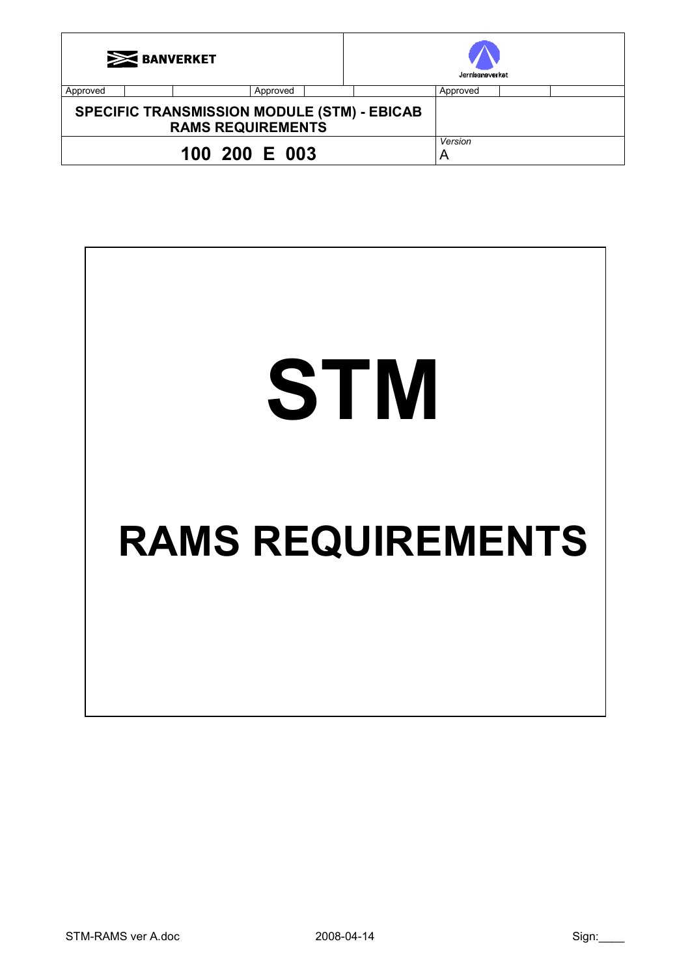| <b>EXPROVERKET</b>                                                             |  |          |              | Jernhameverket |          |  |  |
|--------------------------------------------------------------------------------|--|----------|--------------|----------------|----------|--|--|
| Approved                                                                       |  | Approved |              |                | Approved |  |  |
| <b>SPECIFIC TRANSMISSION MODULE (STM) - EBICAB</b><br><b>RAMS REQUIREMENTS</b> |  |          |              |                |          |  |  |
| 100 200 E 003                                                                  |  |          | Version<br>A |                |          |  |  |

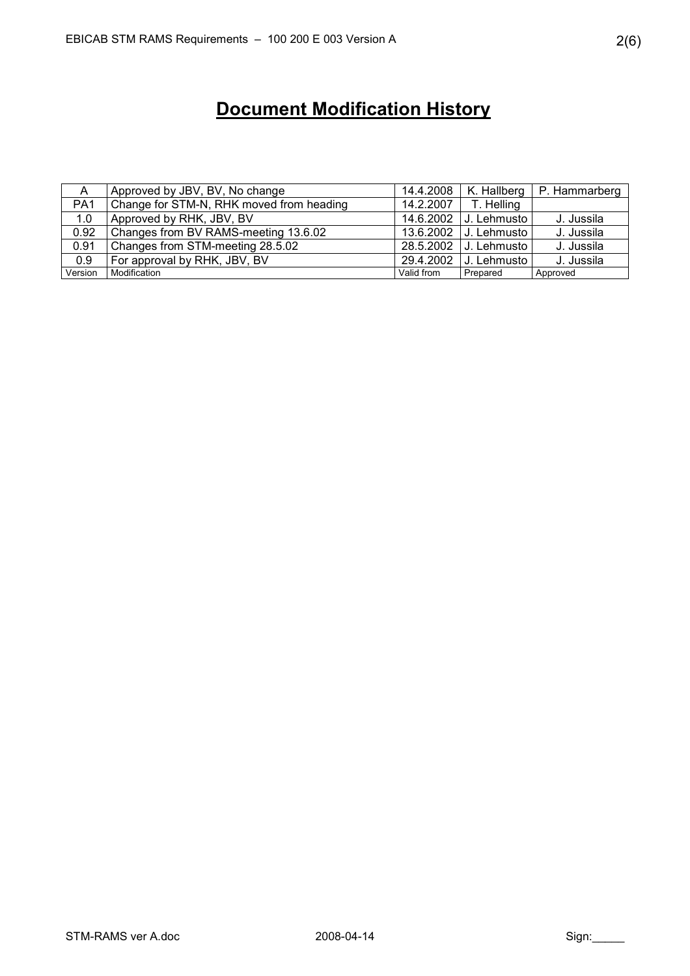# Document Modification History

| A               | Approved by JBV, BV, No change           |            | 14.4.2008   K. Hallberg | P. Hammarberg |
|-----------------|------------------------------------------|------------|-------------------------|---------------|
| PA <sub>1</sub> | Change for STM-N, RHK moved from heading | 14.2.2007  | T. Helling              |               |
| 1.0             | Approved by RHK, JBV, BV                 |            | 14.6.2002 J. Lehmusto   | J. Jussila    |
| 0.92            | Changes from BV RAMS-meeting 13.6.02     |            | 13.6.2002   J. Lehmusto | J. Jussila    |
| 0.91            | Changes from STM-meeting 28.5.02         |            | 28.5.2002   J. Lehmusto | J. Jussila    |
| 0.9             | For approval by RHK, JBV, BV             |            | 29.4.2002 J. Lehmusto   | J. Jussila    |
| Version         | Modification                             | Valid from | Prepared                | Approved      |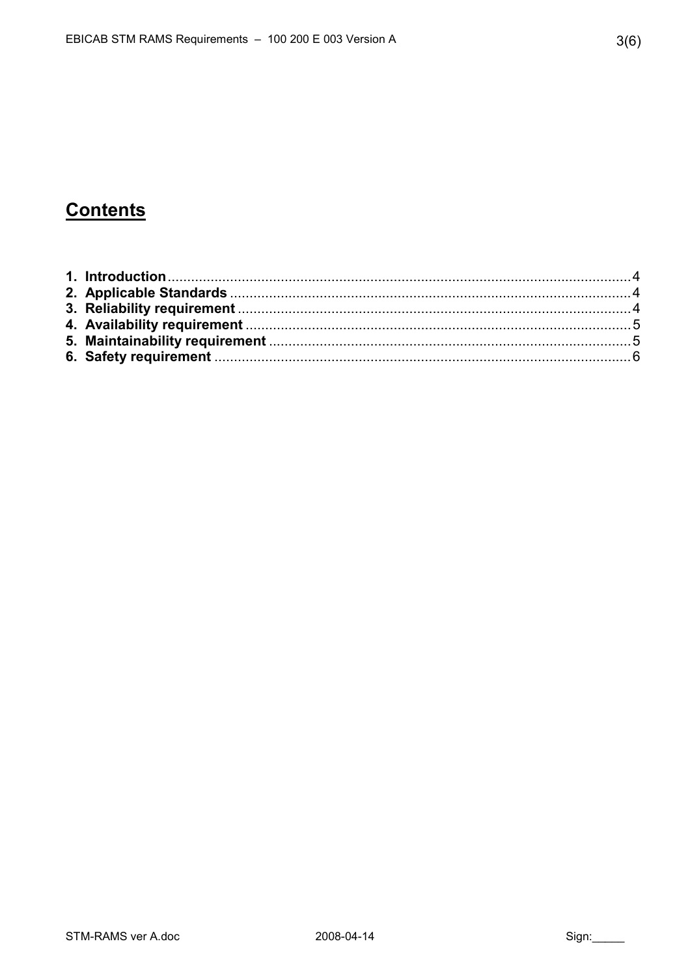## **Contents**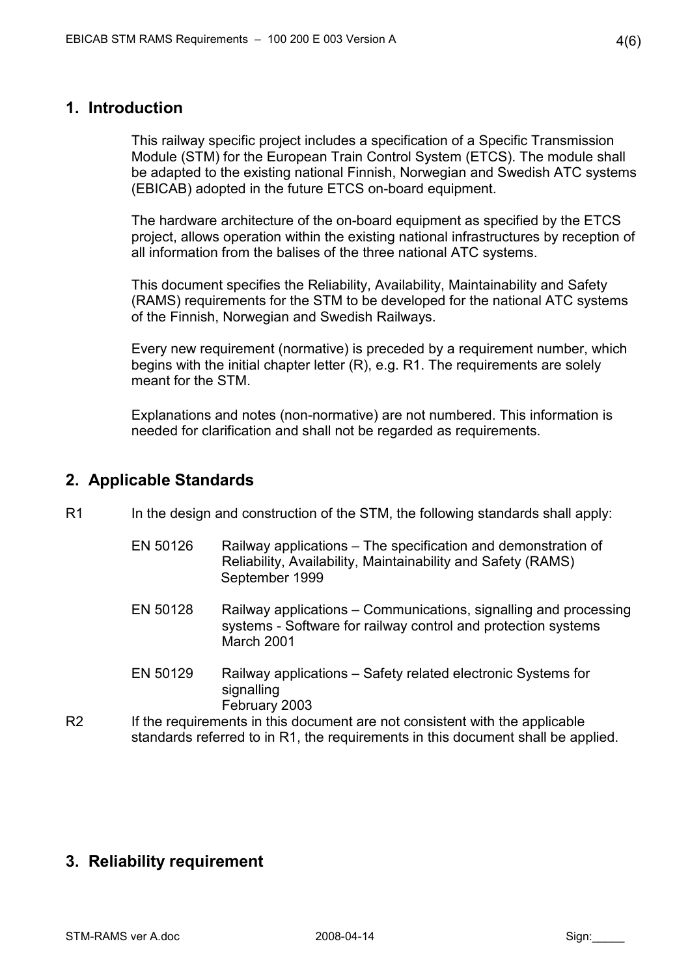#### 1. Introduction

This railway specific project includes a specification of a Specific Transmission Module (STM) for the European Train Control System (ETCS). The module shall be adapted to the existing national Finnish, Norwegian and Swedish ATC systems (EBICAB) adopted in the future ETCS on-board equipment.

The hardware architecture of the on-board equipment as specified by the ETCS project, allows operation within the existing national infrastructures by reception of all information from the balises of the three national ATC systems.

This document specifies the Reliability, Availability, Maintainability and Safety (RAMS) requirements for the STM to be developed for the national ATC systems of the Finnish, Norwegian and Swedish Railways.

Every new requirement (normative) is preceded by a requirement number, which begins with the initial chapter letter (R), e.g. R1. The requirements are solely meant for the STM.

Explanations and notes (non-normative) are not numbered. This information is needed for clarification and shall not be regarded as requirements.

#### 2. Applicable Standards

- R1 In the design and construction of the STM, the following standards shall apply:
	- EN 50126 Railway applications The specification and demonstration of Reliability, Availability, Maintainability and Safety (RAMS) September 1999
	- EN 50128 Railway applications Communications, signalling and processing systems - Software for railway control and protection systems March 2001
	- EN 50129 Railway applications Safety related electronic Systems for signalling February 2003
- R2 If the requirements in this document are not consistent with the applicable standards referred to in R1, the requirements in this document shall be applied.

### 3. Reliability requirement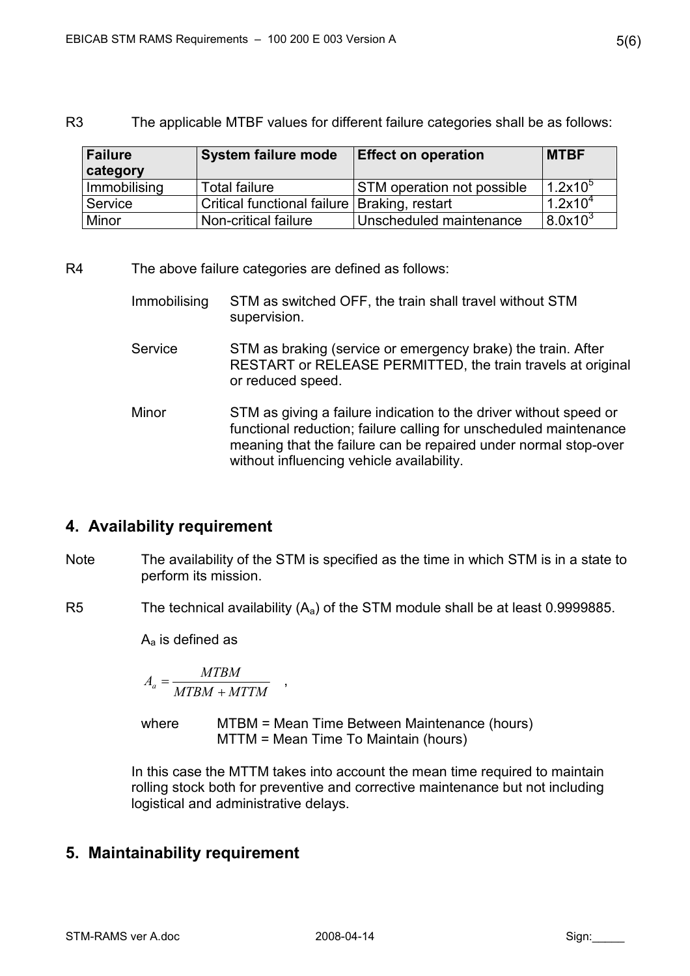R3 The applicable MTBF values for different failure categories shall be as follows:

| Failure<br>category | <b>System failure mode</b>                     | <b>Effect on operation</b>        | <b>IMTBF</b>         |
|---------------------|------------------------------------------------|-----------------------------------|----------------------|
| Immobilising        | Total failure                                  | <b>STM</b> operation not possible | $1.2$ x10 $^{\circ}$ |
| Service             | Critical functional failure   Braking, restart |                                   | 1.2x10 <sup>4</sup>  |
| Minor               | Non-critical failure                           | Unscheduled maintenance           | 8.0x10 <sup>3</sup>  |

R4 The above failure categories are defined as follows:

- Immobilising STM as switched OFF, the train shall travel without STM supervision.
- Service STM as braking (service or emergency brake) the train. After RESTART or RELEASE PERMITTED, the train travels at original or reduced speed.
- Minor STM as giving a failure indication to the driver without speed or functional reduction; failure calling for unscheduled maintenance meaning that the failure can be repaired under normal stop-over without influencing vehicle availability.

### 4. Availability requirement

- Note The availability of the STM is specified as the time in which STM is in a state to perform its mission.
- R5 The technical availability  $(A_a)$  of the STM module shall be at least 0.9999885.

 $A<sub>a</sub>$  is defined as

$$
A_a = \frac{MTBM}{MTBM + MTTM} \quad ,
$$

where MTBM = Mean Time Between Maintenance (hours) MTTM = Mean Time To Maintain (hours)

In this case the MTTM takes into account the mean time required to maintain rolling stock both for preventive and corrective maintenance but not including logistical and administrative delays.

### 5. Maintainability requirement